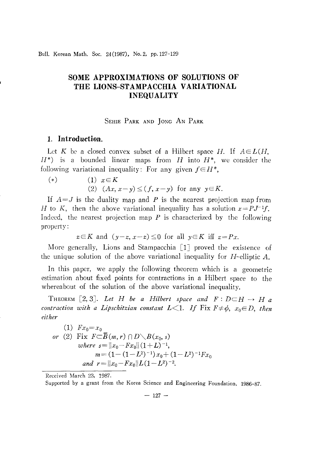Bull. Korean Math. Soc. 24 (1987), No. 2, pp. 127-129

# **SOME APPROXIMATIONS OF SOLUTIONS OF THE LIONS-STAMPACCHIA VARIATIONAL INEQUALITY**

## SEHIE PARK AND JONC AN PARK

### **1. Introduction.**

Let *K* be a closed convex subset of a Hilbert space H. If  $A \in L(H,$ 11\*) is a bounded linear maps from *H* into *H\*,* we consider the following variational inequality: For any given  $f \in H^*$ ,

$$
\begin{aligned}\n (*) & \qquad (1) \quad x \in K \\
(2) \quad (Ax, x - y) \le (f, x - y) \quad \text{for any } y \in K.\n \end{aligned}
$$

If *A=J* is the duality map and *P* is the nearest projection map from H to K, then the above variational inequality has a solution  $x = PJ^{-1}f$ . Indeed, the nearest projection map *P* is characterized by the following property:

$$
z \in K
$$
 and  $(y-z, x-z) \le 0$  for all  $y \in K$  iff  $z = Px$ .

More generally, Lions and Stampacchia  $[1]$  proved the existence of the unique solution of the above variational inequality for H-elliptic A.

In this paper, we apply the following theorem which is a geometric estimation about fixed points for contractions in a Hilbert space to the whereabout of the solution of the above variational inequality.

THEOREM [2, 3]. Let H be a Hilbert space and  $F: D \subset H \to H$  a *contraction* with a *Lipschitzian constant*  $L \leq 1$ . If Fix  $F \neq \phi$ ,  $x_0 \in D$ , then *either*

(1) 
$$
Fx_0=x_0
$$
  
\nor (2) Fix  $F \subset \overline{B}(m,r) \cap D \setminus B(x_0, s)$   
\nwhere  $s = ||x_0 - Fx_0|| (1 + L)^{-1}$ ,  
\n $m = (1 - (1 - L^2)^{-1}) x_0 + (1 - L^2)^{-1} Fx_0$   
\nand  $r = ||x_0 - Fx_0||L(1 - L^2)^{-2}$ .

Received March 23, 1987.

Supported by a grant from the Korea Science and Engineering Foundation, 1986-87.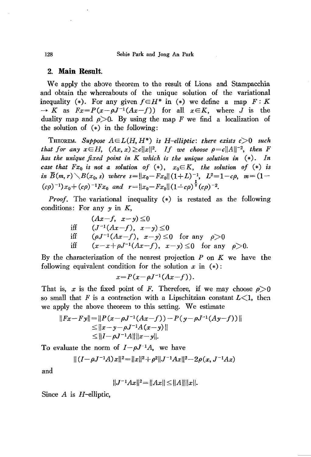### **2. Main Result.**

We apply the above theorem to the result of Lions and Stampacchia and obtain the whereabouts of the unique solution of the variational inequality (\*). For any given  $f \in H^*$  in (\*) we define a map  $F: K$  $\rightarrow K$  as  $Fx = P(x - \rho J^{-1}(Ax - f))$  for all  $x \in K$ , where *J* is the duality map and  $\rho > 0$ . By using the map *F* we find a localization of the solution of  $(*)$  in the following:

**THEOREM.** Suppose  $A \in L(H, H^*)$  is H-elliptic: there exists  $c > 0$  such *that for any*  $x \in H$ ,  $(Ax, x) \ge c||x||^2$ . *If* we *choose*  $\rho = c||A||^{-2}$ , *then F has the unique fixed point in K which is the unique solution in* (\*). *In case that*  $Fx_0$  *is not a solution of* (\*),  $x_0 \in K$ , *the solution of* (\*) *is in*  $\overline{B}(m,r) \setminus B(x_0,s)$  *where*  $s = ||x_0 - Fx_0|| (1+L)^{-1}$ ,  $L^2 = 1 - c\rho$ ,  $m = (1 (c\rho)^{-1}x_0 + (c\rho)^{-1}Fx_0$  *and*  $r = ||x_0 - Fx_0||(1-c\rho)^{\frac{1}{2}}(c\rho)^{-2}$ .

*Proof.* The variational inequality (\*) is restated as the following conditions: For any  $y$  in  $K$ ,

$$
(Ax-f, x-y) \le 0
$$
  
iff  $(J^{-1}(Ax-f), x-y) \le 0$   
iff  $(\rho J^{-1}(Ax-f), x-y) \le 0$  for any  $\rho > 0$   
iff  $(x-x+\rho J^{-1}(Ax-f), x-y) \le 0$  for any  $\rho > 0$ .

By the characterization of the nearest projection *P* on *K* we have the following equivalent condition for the solution x in  $(*)$ :

$$
x = P(x - \rho J^{-1}(Ax - f)).
$$

That is, *x* is the fixed point of *F*. Therefore, if we may choose  $\rho > 0$ so small that F is a contraction with a Lipschitzian constant  $L<1$ , then we apply the above theorem to this setting. We estimate

$$
||Fx-Fy||=||P(x-\rho J^{-1}(Ax-f))-P(y-\rho J^{-1}(Ay-f))||
$$
  
\n
$$
\leq ||x-y-\rho J^{-1}A(x-y)||
$$
  
\n
$$
\leq ||I-\rho J^{-1}A|| ||x-y||.
$$

To evaluate the norm of  $I-\rho J^{-1}A$ , we have

$$
\|(I-\rho J^{-1}A)x\|^2\!=\!\|x\|^2\!+\!\rho^2\|J^{-1}Ax\|^2\!-\!2\rho(x,J^{-1}Ax)
$$

and

$$
||J^{-1}Ax||^2 = ||Ax|| \le ||A|| ||x||.
$$

Since *A* is H-elliptic,